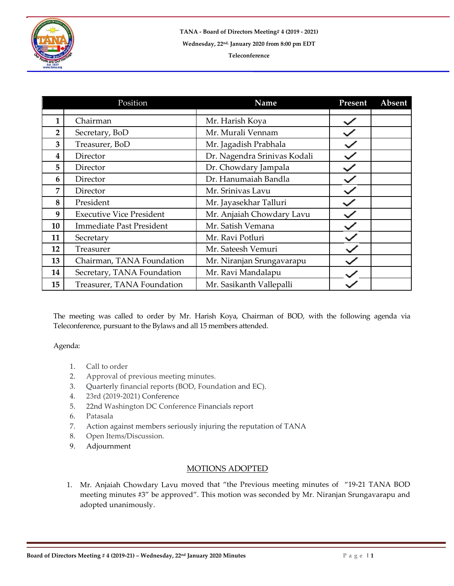

|    | Position                        | Name                         | Present | Absent |
|----|---------------------------------|------------------------------|---------|--------|
|    |                                 |                              |         |        |
| 1  | Chairman                        | Mr. Harish Koya              |         |        |
| 2  | Secretary, BoD                  | Mr. Murali Vennam            |         |        |
| 3  | Treasurer, BoD                  | Mr. Jagadish Prabhala        |         |        |
| 4  | Director                        | Dr. Nagendra Srinivas Kodali |         |        |
| 5  | Director                        | Dr. Chowdary Jampala         |         |        |
| 6  | Director                        | Dr. Hanumaiah Bandla         |         |        |
| 7  | Director                        | Mr. Srinivas Lavu            |         |        |
| 8  | President                       | Mr. Jayasekhar Talluri       |         |        |
| 9  | <b>Executive Vice President</b> | Mr. Anjaiah Chowdary Lavu    |         |        |
| 10 | <b>Immediate Past President</b> | Mr. Satish Vemana            |         |        |
| 11 | Secretary                       | Mr. Ravi Potluri             |         |        |
| 12 | Treasurer                       | Mr. Sateesh Vemuri           |         |        |
| 13 | Chairman, TANA Foundation       | Mr. Niranjan Srungavarapu    |         |        |
| 14 | Secretary, TANA Foundation      | Mr. Ravi Mandalapu           |         |        |
| 15 | Treasurer, TANA Foundation      | Mr. Sasikanth Vallepalli     |         |        |

The meeting was called to order by Mr. Harish Koya, Chairman of BOD, with the following agenda via Teleconference, pursuant to the Bylaws and all 15 members attended.

Agenda:

- 1. Call to order
- 2. Approval of previous meeting minutes.
- 3. Quarterly financial reports (BOD, Foundation and EC).
- 4. 23rd (2019-2021) Conference
- 5. 22nd Washington DC Conference Financials report
- 6. Patasala
- 7. Action against members seriously injuring the reputation of TANA
- 8. Open Items/Discussion.
- 9. Adjournment

## MOTIONS ADOPTED

1. Mr. Anjaiah Chowdary Lavu moved that "the Previous meeting minutes of "19-21 TANA BOD meeting minutes #3" be approved". This motion was seconded by Mr. Niranjan Srungavarapu and adopted unanimously.